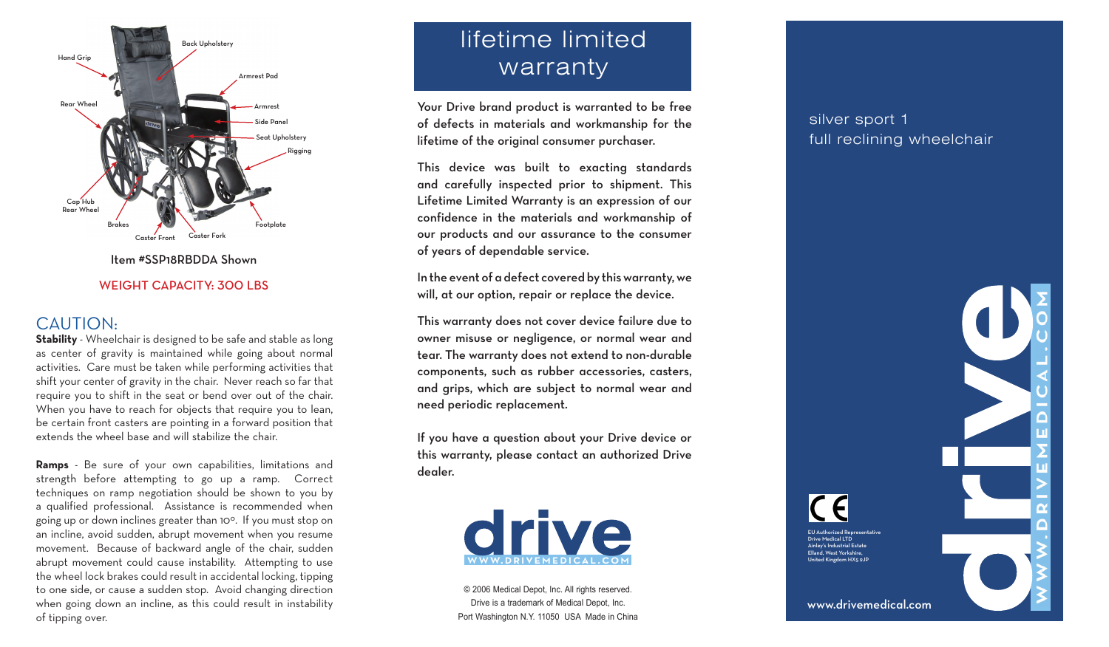

Item #SSP18RBDDA Shown

#### WEIGHT CAPACITY: 300 LBS

### CAUTION:

**Stability** - Wheelchair is designed to be safe and stable as long as center of gravity is maintained while going about normal activities. Care must be taken while performing activities that shift your center of gravity in the chair. Never reach so far that require you to shift in the seat or bend over out of the chair. When you have to reach for objects that require you to lean, be certain front casters are pointing in a forward position that extends the wheel base and will stabilize the chair.

**Ramps** - Be sure of your own capabilities, limitations and strength before attempting to go up a ramp. Correct techniques on ramp negotiation should be shown to you by a qualified professional. Assistance is recommended when going up or down inclines greater than 10°. If you must stop on an incline, avoid sudden, abrupt movement when you resume movement. Because of backward angle of the chair, sudden abrupt movement could cause instability. Attempting to use the wheel lock brakes could result in accidental locking, tipping to one side, or cause a sudden stop. Avoid changing direction when going down an incline, as this could result in instability of tipping over.

# lifetime limited warranty

Your Drive brand product is warranted to be free of defects in materials and workmanship for the lifetime of the original consumer purchaser.

This device was built to exacting standards and carefully inspected prior to shipment. This Lifetime Limited Warranty is an expression of our confidence in the materials and workmanship of our products and our assurance to the consumer of years of dependable service.

In the event of a defect covered by this warranty, we will, at our option, repair or replace the device.

This warranty does not cover device failure due to owner misuse or negligence, or normal wear and tear. The warranty does not extend to non-durable components, such as rubber accessories, casters, and grips, which are subject to normal wear and need periodic replacement.

If you have a question about your Drive device or this warranty, please contact an authorized Drive dealer.



© 2006 Medical Depot, Inc. All rights reserved. Drive is a trademark of Medical Depot, Inc. Port Washington N.Y. 11050 USA Made in China

## silver sport 1 full reclining wheelchair

EU Authorized Representative Drive Medical LTD Ainley's Industrial Estate Elland, West Yorkshire, United Kingdom HX5 9JP

( Fl